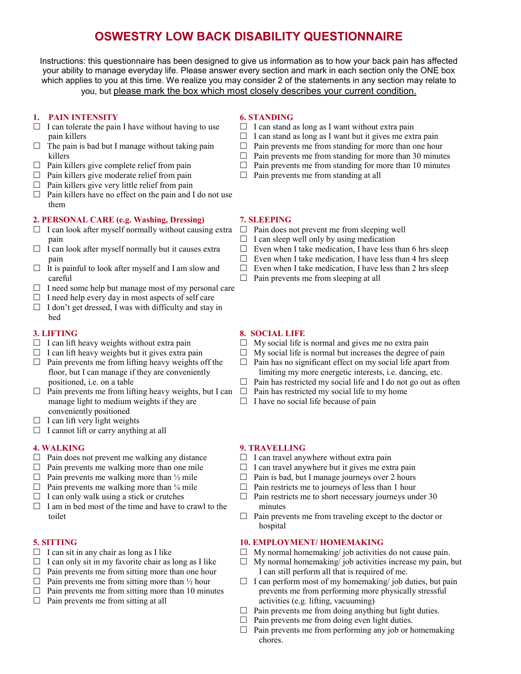## **OSWESTRY LOW BACK DISABILITY QUESTIONNAIRE**

Instructions: this questionnaire has been designed to give us information as to how your back pain has affected your ability to manage everyday life. Please answer every section and mark in each section only the ONE box which applies to you at this time. We realize you may consider 2 of the statements in any section may relate to you, but please mark the box which most closely describes your current condition.

#### **1. PAIN INTENSITY**

- $\Box$  I can tolerate the pain I have without having to use pain killers
- $\Box$  The pain is bad but I manage without taking pain killers
- $\Box$  Pain killers give complete relief from pain
- $\Box$  Pain killers give moderate relief from pain
- $\Box$  Pain killers give very little relief from pain
- $\Box$  Pain killers have no effect on the pain and I do not use them

#### **2. PERSONAL CARE (e.g. Washing, Dressing)**

- $\Box$  I can look after myself normally without causing extra pain
- $\Box$  I can look after myself normally but it causes extra pain
- $\Box$  It is painful to look after myself and I am slow and careful
- $\Box$  I need some help but manage most of my personal care
- $\Box$  I need help every day in most aspects of self care
- $\Box$  I don't get dressed, I was with difficulty and stay in bed

#### **3. LIFTING**

- $\Box$  I can lift heavy weights without extra pain
- $\Box$  I can lift heavy weights but it gives extra pain
- $\Box$  Pain prevents me from lifting heavy weights off the floor, but I can manage if they are conveniently positioned, i.e. on a table
- $\Box$  Pain prevents me from lifting heavy weights, but I can  $\Box$ manage light to medium weights if they are conveniently positioned
- $\Box$  I can lift very light weights
- $\Box$  I cannot lift or carry anything at all

#### **4. WALKING**

- $\Box$  Pain does not prevent me walking any distance
- $\Box$  Pain prevents me walking more than one mile
- $\Box$  Pain prevents me walking more than  $\frac{1}{2}$  mile
- $\Box$  Pain prevents me walking more than  $\frac{1}{4}$  mile
- $\Box$  I can only walk using a stick or crutches
- $\Box$  I am in bed most of the time and have to crawl to the toilet

#### **5. SITTING**

- $\Box$  I can sit in any chair as long as I like
- $\Box$  I can only sit in my favorite chair as long as I like
- $\Box$  Pain prevents me from sitting more than one hour
- $\Box$  Pain prevents me from sitting more than  $\frac{1}{2}$  hour
- $\Box$  Pain prevents me from sitting more than 10 minutes
- $\Box$  Pain prevents me from sitting at all

#### **6. STANDING**

- $\Box$  I can stand as long as I want without extra pain
- $\Box$  I can stand as long as I want but it gives me extra pain
- $\Box$  Pain prevents me from standing for more than one hour
- $\Box$  Pain prevents me from standing for more than 30 minutes
- $\Box$  Pain prevents me from standing for more than 10 minutes
- $\Box$  Pain prevents me from standing at all

#### **7. SLEEPING**

- $\Box$  Pain does not prevent me from sleeping well
- $\Box$  I can sleep well only by using medication
- $\Box$  Even when I take medication, I have less than 6 hrs sleep
- $\Box$  Even when I take medication. I have less than 4 hrs sleep
- $\Box$  Even when I take medication, I have less than 2 hrs sleep
- $\Box$  Pain prevents me from sleeping at all

#### **8. SOCIAL LIFE**

- $\Box$  My social life is normal and gives me no extra pain
- $\Box$  My social life is normal but increases the degree of pain
- $\Box$  Pain has no significant effect on my social life apart from limiting my more energetic interests, i.e. dancing, etc.
- $\Box$  Pain has restricted my social life and I do not go out as often
- Pain has restricted my social life to my home
- $\Box$  I have no social life because of pain

#### **9. TRAVELLING**

- $\Box$  I can travel anywhere without extra pain
- $\Box$  I can travel anywhere but it gives me extra pain
- $\Box$  Pain is bad, but I manage journeys over 2 hours
- $\Box$  Pain restricts me to journeys of less than 1 hour
- $\Box$  Pain restricts me to short necessary journeys under 30 minutes
- $\Box$  Pain prevents me from traveling except to the doctor or hospital

#### **10. EMPLOYMENT/ HOMEMAKING**

- $\Box$  My normal homemaking/ job activities do not cause pain.
- $\Box$  My normal homemaking/ job activities increase my pain, but I can still perform all that is required of me.
- $\Box$  I can perform most of my homemaking/job duties, but pain prevents me from performing more physically stressful activities (e.g. lifting, vacuuming)
- $\Box$  Pain prevents me from doing anything but light duties.
- $\Box$  Pain prevents me from doing even light duties.
- $\Box$  Pain prevents me from performing any job or homemaking chores.